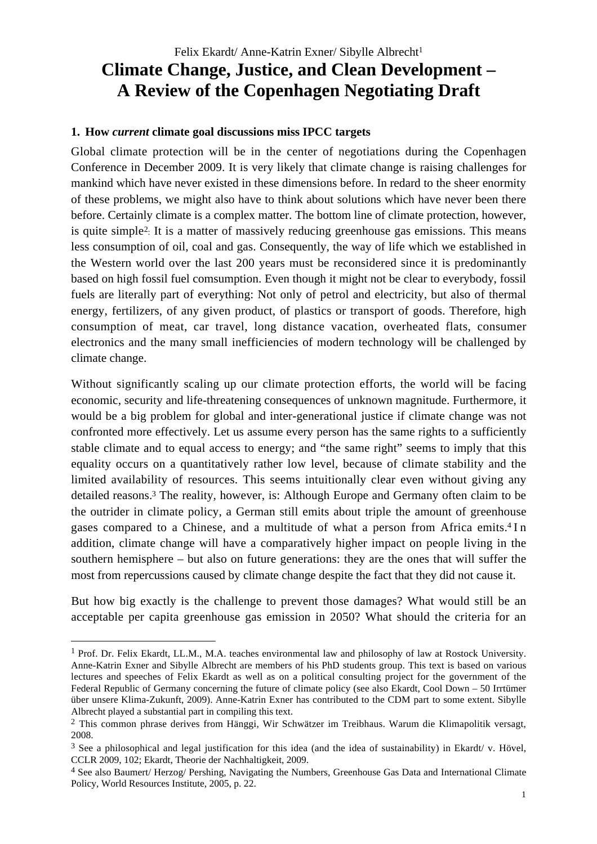### **1. How** *current* **climate goal discussions miss IPCC targets**

Global climate protection will be in the center of negotiations during the Copenhagen Conference in December 2009. It is very likely that climate change is raising challenges for mankind which have never existed in these dimensions before. In redard to the sheer enormity of these problems, we might also have to think about solutions which have never been there before. Certainly climate is a complex matter. The bottom line of climate protection, however, is quite simple2: It is a matter of massively reducing greenhouse gas emissions. This means less consumption of oil, coal and gas. Consequently, the way of life which we established in the Western world over the last 200 years must be reconsidered since it is predominantly based on high fossil fuel comsumption. Even though it might not be clear to everybody, fossil fuels are literally part of everything: Not only of petrol and electricity, but also of thermal energy, fertilizers, of any given product, of plastics or transport of goods. Therefore, high consumption of meat, car travel, long distance vacation, overheated flats, consumer electronics and the many small inefficiencies of modern technology will be challenged by climate change.

Without significantly scaling up our climate protection efforts, the world will be facing economic, security and life-threatening consequences of unknown magnitude. Furthermore, it would be a big problem for global and inter-generational justice if climate change was not confronted more effectively. Let us assume every person has the same rights to a sufficiently stable climate and to equal access to energy; and "the same right" seems to imply that this equality occurs on a quantitatively rather low level, because of climate stability and the limited availability of resources. This seems intuitionally clear even without giving any detailed reasons.3 The reality, however, is: Although Europe and Germany often claim to be the outrider in climate policy, a German still emits about triple the amount of greenhouse gases compared to a Chinese, and a multitude of what a person from Africa emits.4 I n addition, climate change will have a comparatively higher impact on people living in the southern hemisphere – but also on future generations: they are the ones that will suffer the most from repercussions caused by climate change despite the fact that they did not cause it.

But how big exactly is the challenge to prevent those damages? What would still be an acceptable per capita greenhouse gas emission in 2050? What should the criteria for an

<sup>1</sup> Prof. Dr. Felix Ekardt, LL.M., M.A. teaches environmental law and philosophy of law at Rostock University. Anne-Katrin Exner and Sibylle Albrecht are members of his PhD students group. This text is based on various lectures and speeches of Felix Ekardt as well as on a political consulting project for the government of the Federal Republic of Germany concerning the future of climate policy (see also Ekardt, Cool Down – 50 Irrtümer über unsere Klima-Zukunft, 2009). Anne-Katrin Exner has contributed to the CDM part to some extent. Sibylle Albrecht played a substantial part in compiling this text.

<sup>&</sup>lt;sup>2</sup> This common phrase derives from Hänggi, Wir Schwätzer im Treibhaus. Warum die Klimapolitik versagt, 2008.

 $3$  See a philosophical and legal justification for this idea (and the idea of sustainability) in Ekardt/ v. Hövel, CCLR 2009, 102; Ekardt, Theorie der Nachhaltigkeit, 2009.

<sup>4</sup> See also Baumert/ Herzog/ Pershing, Navigating the Numbers, Greenhouse Gas Data and International Climate Policy, World Resources Institute, 2005, p. 22.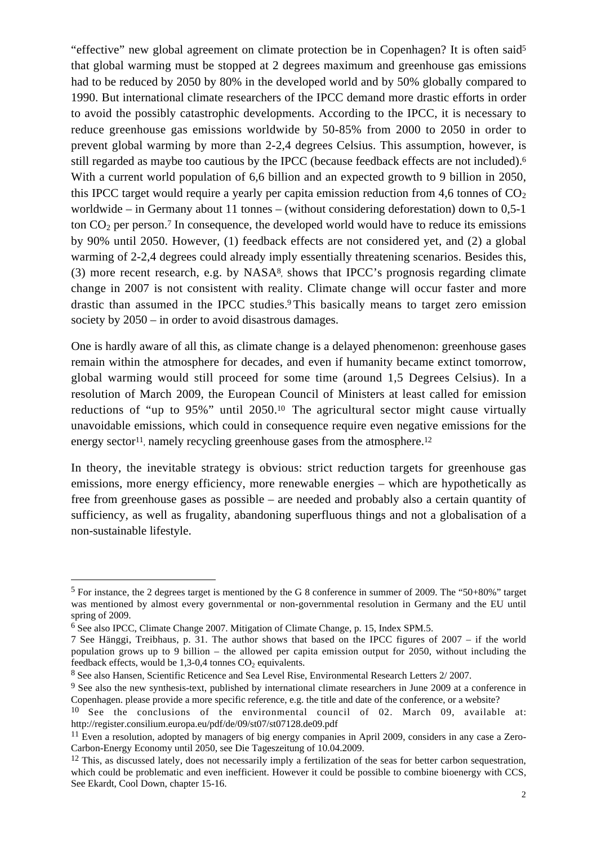"effective" new global agreement on climate protection be in Copenhagen? It is often said5 that global warming must be stopped at 2 degrees maximum and greenhouse gas emissions had to be reduced by 2050 by 80% in the developed world and by 50% globally compared to 1990. But international climate researchers of the IPCC demand more drastic efforts in order to avoid the possibly catastrophic developments. According to the IPCC, it is necessary to reduce greenhouse gas emissions worldwide by 50-85% from 2000 to 2050 in order to prevent global warming by more than 2-2,4 degrees Celsius. This assumption, however, is still regarded as maybe too cautious by the IPCC (because feedback effects are not included).6 With a current world population of 6,6 billion and an expected growth to 9 billion in 2050, this IPCC target would require a yearly per capita emission reduction from 4,6 tonnes of  $CO<sub>2</sub>$ worldwide – in Germany about 11 tonnes – (without considering deforestation) down to 0,5-1 ton  $CO<sub>2</sub>$  per person.<sup>7</sup> In consequence, the developed world would have to reduce its emissions by 90% until 2050. However, (1) feedback effects are not considered yet, and (2) a global warming of 2-2,4 degrees could already imply essentially threatening scenarios. Besides this, (3) more recent research, e.g. by NASA8, shows that IPCC's prognosis regarding climate change in 2007 is not consistent with reality. Climate change will occur faster and more drastic than assumed in the IPCC studies.9 This basically means to target zero emission society by 2050 – in order to avoid disastrous damages.

One is hardly aware of all this, as climate change is a delayed phenomenon: greenhouse gases remain within the atmosphere for decades, and even if humanity became extinct tomorrow, global warming would still proceed for some time (around 1,5 Degrees Celsius). In a resolution of March 2009, the European Council of Ministers at least called for emission reductions of "up to 95%" until 2050.10 The agricultural sector might cause virtually unavoidable emissions, which could in consequence require even negative emissions for the energy sector<sup>11</sup>, namely recycling greenhouse gases from the atmosphere.<sup>12</sup>

In theory, the inevitable strategy is obvious: strict reduction targets for greenhouse gas emissions, more energy efficiency, more renewable energies – which are hypothetically as free from greenhouse gases as possible – are needed and probably also a certain quantity of sufficiency, as well as frugality, abandoning superfluous things and not a globalisation of a non-sustainable lifestyle.

 $\ddot{ }$ 

<sup>5</sup> For instance, the 2 degrees target is mentioned by the G 8 conference in summer of 2009. The "50+80%" target was mentioned by almost every governmental or non-governmental resolution in Germany and the EU until spring of 2009.

<sup>6</sup> See also IPCC, Climate Change 2007. Mitigation of Climate Change, p. 15, Index SPM.5.

<sup>7</sup> See Hänggi, Treibhaus, p. 31. The author shows that based on the IPCC figures of 2007 – if the world population grows up to 9 billion – the allowed per capita emission output for 2050, without including the feedback effects, would be  $1,3-0,4$  tonnes  $CO<sub>2</sub>$  equivalents.

<sup>8</sup> See also Hansen, Scientific Reticence and Sea Level Rise, Environmental Research Letters 2/ 2007.

<sup>&</sup>lt;sup>9</sup> See also the new synthesis-text, published by international climate researchers in June 2009 at a conference in Copenhagen. please provide a more specific reference, e.g. the title and date of the conference, or a website?

<sup>10</sup> See the conclusions of the environmental council of 02. March 09, available at: http://register.consilium.europa.eu/pdf/de/09/st07/st07128.de09.pdf

<sup>11</sup> Even a resolution, adopted by managers of big energy companies in April 2009, considers in any case a Zero-Carbon-Energy Economy until 2050, see Die Tageszeitung of 10.04.2009.

 $12$  This, as discussed lately, does not necessarily imply a fertilization of the seas for better carbon sequestration, which could be problematic and even inefficient. However it could be possible to combine bioenergy with CCS, See Ekardt, Cool Down, chapter 15-16.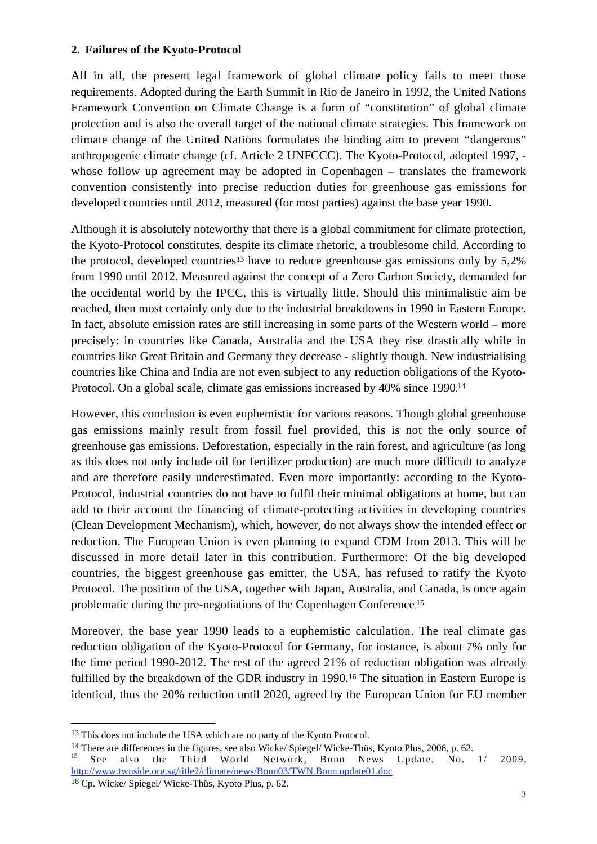## **2. Failures of the Kyoto-Protocol**

All in all, the present legal framework of global climate policy fails to meet those requirements. Adopted during the Earth Summit in Rio de Janeiro in 1992, the United Nations Framework Convention on Climate Change is a form of "constitution" of global climate protection and is also the overall target of the national climate strategies. This framework on climate change of the United Nations formulates the binding aim to prevent "dangerous" anthropogenic climate change (cf. Article 2 UNFCCC). The Kyoto-Protocol, adopted 1997, whose follow up agreement may be adopted in Copenhagen – translates the framework convention consistently into precise reduction duties for greenhouse gas emissions for developed countries until 2012, measured (for most parties) against the base year 1990.

Although it is absolutely noteworthy that there is a global commitment for climate protection, the Kyoto-Protocol constitutes, despite its climate rhetoric, a troublesome child. According to the protocol, developed countries<sup>13</sup> have to reduce greenhouse gas emissions only by  $5.2\%$ from 1990 until 2012. Measured against the concept of a Zero Carbon Society, demanded for the occidental world by the IPCC, this is virtually little. Should this minimalistic aim be reached, then most certainly only due to the industrial breakdowns in 1990 in Eastern Europe. In fact, absolute emission rates are still increasing in some parts of the Western world – more precisely: in countries like Canada, Australia and the USA they rise drastically while in countries like Great Britain and Germany they decrease - slightly though. New industrialising countries like China and India are not even subject to any reduction obligations of the Kyoto-Protocol. On a global scale, climate gas emissions increased by 40% since 1990. 14

However, this conclusion is even euphemistic for various reasons. Though global greenhouse gas emissions mainly result from fossil fuel provided, this is not the only source of greenhouse gas emissions. Deforestation, especially in the rain forest, and agriculture (as long as this does not only include oil for fertilizer production) are much more difficult to analyze and are therefore easily underestimated. Even more importantly: according to the Kyoto-Protocol, industrial countries do not have to fulfil their minimal obligations at home, but can add to their account the financing of climate-protecting activities in developing countries (Clean Development Mechanism), which, however, do not always show the intended effect or reduction. The European Union is even planning to expand CDM from 2013. This will be discussed in more detail later in this contribution. Furthermore: Of the big developed countries, the biggest greenhouse gas emitter, the USA, has refused to ratify the Kyoto Protocol. The position of the USA, together with Japan, Australia, and Canada, is once again problematic during the pre-negotiations of the Copenhagen Conference. 15

Moreover, the base year 1990 leads to a euphemistic calculation. The real climate gas reduction obligation of the Kyoto-Protocol for Germany, for instance, is about 7% only for the time period 1990-2012. The rest of the agreed 21% of reduction obligation was already fulfilled by the breakdown of the GDR industry in 1990.<sup>16</sup> The situation in Eastern Europe is identical, thus the 20% reduction until 2020, agreed by the European Union for EU member

 $\ddot{ }$ 

<sup>&</sup>lt;sup>13</sup> This does not include the USA which are no party of the Kyoto Protocol.

<sup>&</sup>lt;sup>14</sup> There are differences in the figures, see also Wicke/ Spiegel/ Wicke-Thüs, Kyoto Plus, 2006, p. 62.<br><sup>15</sup> See also the Third World Network, Bonn News Update, No. 1/ 2009, http://www.twnside.org.sg/title2/climate/news/Bonn03/TWN.Bonn.update01.doc

<sup>16</sup> Cp. Wicke/ Spiegel/ Wicke-Thüs, Kyoto Plus, p. 62.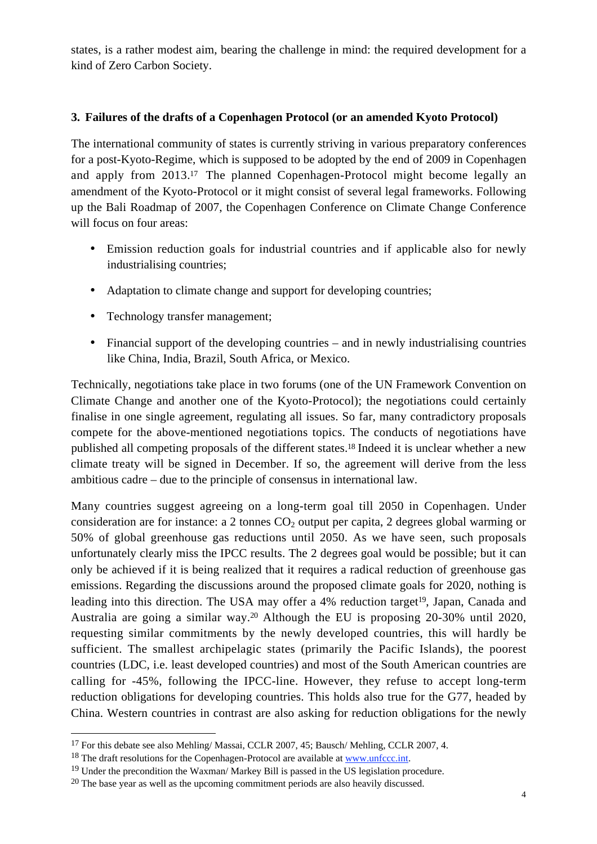states, is a rather modest aim, bearing the challenge in mind: the required development for a kind of Zero Carbon Society.

## **3. Failures of the drafts of a Copenhagen Protocol (or an amended Kyoto Protocol)**

The international community of states is currently striving in various preparatory conferences for a post-Kyoto-Regime, which is supposed to be adopted by the end of 2009 in Copenhagen and apply from 2013.17 The planned Copenhagen-Protocol might become legally an amendment of the Kyoto-Protocol or it might consist of several legal frameworks. Following up the Bali Roadmap of 2007, the Copenhagen Conference on Climate Change Conference will focus on four areas:

- Emission reduction goals for industrial countries and if applicable also for newly industrialising countries;
- Adaptation to climate change and support for developing countries;
- Technology transfer management;
- Financial support of the developing countries and in newly industrialising countries like China, India, Brazil, South Africa, or Mexico.

Technically, negotiations take place in two forums (one of the UN Framework Convention on Climate Change and another one of the Kyoto-Protocol); the negotiations could certainly finalise in one single agreement, regulating all issues. So far, many contradictory proposals compete for the above-mentioned negotiations topics. The conducts of negotiations have published all competing proposals of the different states.18 Indeed it is unclear whether a new climate treaty will be signed in December. If so, the agreement will derive from the less ambitious cadre – due to the principle of consensus in international law.

Many countries suggest agreeing on a long-term goal till 2050 in Copenhagen. Under consideration are for instance: a 2 tonnes  $CO<sub>2</sub>$  output per capita, 2 degrees global warming or 50% of global greenhouse gas reductions until 2050. As we have seen, such proposals unfortunately clearly miss the IPCC results. The 2 degrees goal would be possible; but it can only be achieved if it is being realized that it requires a radical reduction of greenhouse gas emissions. Regarding the discussions around the proposed climate goals for 2020, nothing is leading into this direction. The USA may offer a 4% reduction target<sup>19</sup>, Japan, Canada and Australia are going a similar way.20 Although the EU is proposing 20-30% until 2020, requesting similar commitments by the newly developed countries, this will hardly be sufficient. The smallest archipelagic states (primarily the Pacific Islands), the poorest countries (LDC, i.e. least developed countries) and most of the South American countries are calling for -45%, following the IPCC-line. However, they refuse to accept long-term reduction obligations for developing countries. This holds also true for the G77, headed by China. Western countries in contrast are also asking for reduction obligations for the newly

<sup>&</sup>lt;sup>17</sup> For this debate see also Mehling/ Massai, CCLR 2007, 45; Bausch/ Mehling, CCLR 2007, 4.

<sup>&</sup>lt;sup>18</sup> The draft resolutions for the Copenhagen-Protocol are available at www.unfccc.int.

<sup>&</sup>lt;sup>19</sup> Under the precondition the Waxman/ Markey Bill is passed in the US legislation procedure.

 $20$  The base year as well as the upcoming commitment periods are also heavily discussed.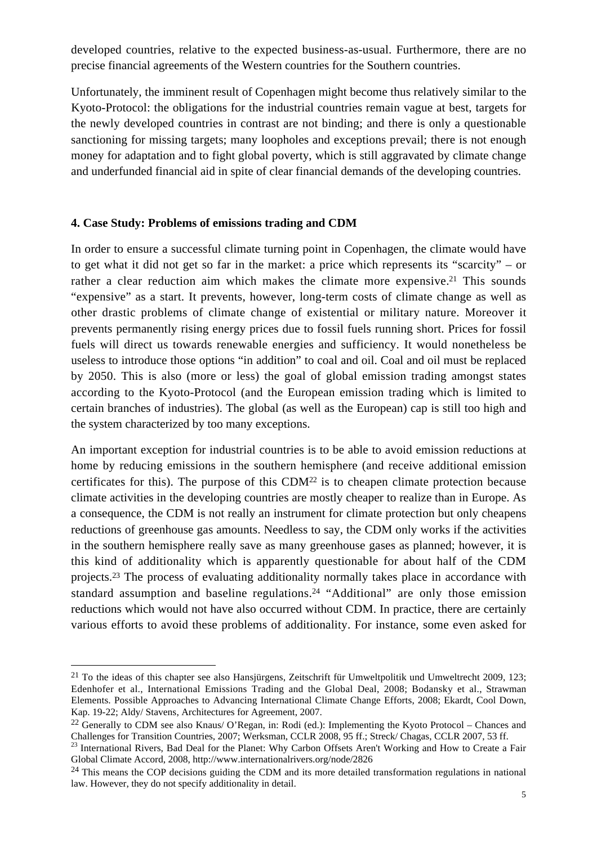developed countries, relative to the expected business-as-usual. Furthermore, there are no precise financial agreements of the Western countries for the Southern countries.

Unfortunately, the imminent result of Copenhagen might become thus relatively similar to the Kyoto-Protocol: the obligations for the industrial countries remain vague at best, targets for the newly developed countries in contrast are not binding; and there is only a questionable sanctioning for missing targets; many loopholes and exceptions prevail; there is not enough money for adaptation and to fight global poverty, which is still aggravated by climate change and underfunded financial aid in spite of clear financial demands of the developing countries.

#### **4. Case Study: Problems of emissions trading and CDM**

 $\overline{a}$ 

In order to ensure a successful climate turning point in Copenhagen, the climate would have to get what it did not get so far in the market: a price which represents its "scarcity" – or rather a clear reduction aim which makes the climate more expensive.<sup>21</sup> This sounds "expensive" as a start. It prevents, however, long-term costs of climate change as well as other drastic problems of climate change of existential or military nature. Moreover it prevents permanently rising energy prices due to fossil fuels running short. Prices for fossil fuels will direct us towards renewable energies and sufficiency. It would nonetheless be useless to introduce those options "in addition" to coal and oil. Coal and oil must be replaced by 2050. This is also (more or less) the goal of global emission trading amongst states according to the Kyoto-Protocol (and the European emission trading which is limited to certain branches of industries). The global (as well as the European) cap is still too high and the system characterized by too many exceptions.

An important exception for industrial countries is to be able to avoid emission reductions at home by reducing emissions in the southern hemisphere (and receive additional emission certificates for this). The purpose of this CDM22 is to cheapen climate protection because climate activities in the developing countries are mostly cheaper to realize than in Europe. As a consequence, the CDM is not really an instrument for climate protection but only cheapens reductions of greenhouse gas amounts. Needless to say, the CDM only works if the activities in the southern hemisphere really save as many greenhouse gases as planned; however, it is this kind of additionality which is apparently questionable for about half of the CDM projects.23 The process of evaluating additionality normally takes place in accordance with standard assumption and baseline regulations.24 "Additional" are only those emission reductions which would not have also occurred without CDM. In practice, there are certainly various efforts to avoid these problems of additionality. For instance, some even asked for

<sup>&</sup>lt;sup>21</sup> To the ideas of this chapter see also Hansjürgens, Zeitschrift für Umweltpolitik und Umweltrecht 2009, 123; Edenhofer et al., International Emissions Trading and the Global Deal, 2008; Bodansky et al., Strawman Elements. Possible Approaches to Advancing International Climate Change Efforts, 2008; Ekardt, Cool Down, Kap. 19-22; Aldy/ Stavens, Architectures for Agreement, 2007.

<sup>&</sup>lt;sup>22</sup> Generally to CDM see also Knaus/ O'Regan, in: Rodi (ed.): Implementing the Kyoto Protocol – Chances and Challenges for Transition Countries, 2007; Werksman, CCLR 2008, 95 ff.; Streck/ Chagas, CCLR 2007, 53 ff.

<sup>&</sup>lt;sup>23</sup> International Rivers, Bad Deal for the Planet: Why Carbon Offsets Aren't Working and How to Create a Fair Global Climate Accord, 2008, http://www.internationalrivers.org/node/2826

<sup>&</sup>lt;sup>24</sup> This means the COP decisions guiding the CDM and its more detailed transformation regulations in national law. However, they do not specify additionality in detail.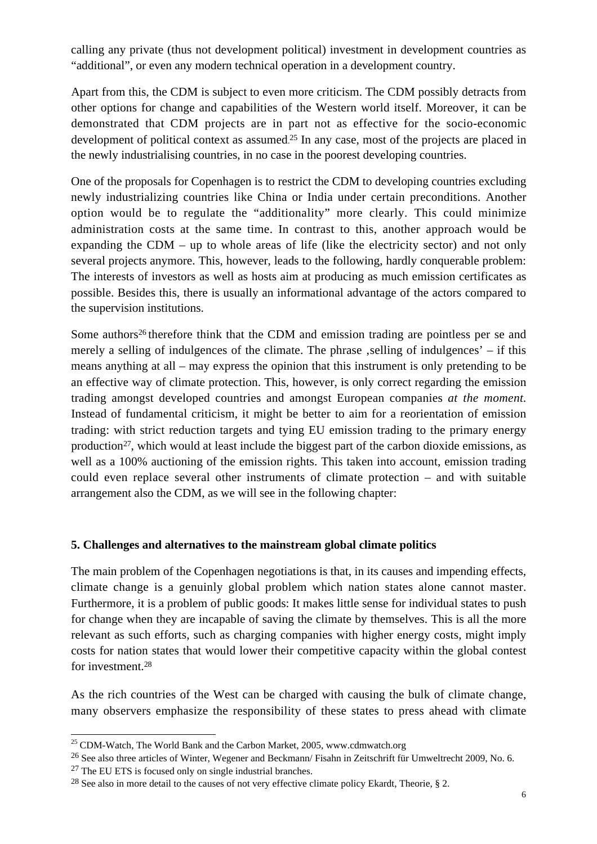calling any private (thus not development political) investment in development countries as "additional", or even any modern technical operation in a development country.

Apart from this, the CDM is subject to even more criticism. The CDM possibly detracts from other options for change and capabilities of the Western world itself. Moreover, it can be demonstrated that CDM projects are in part not as effective for the socio-economic development of political context as assumed. <sup>25</sup> In any case, most of the projects are placed in the newly industrialising countries, in no case in the poorest developing countries.

One of the proposals for Copenhagen is to restrict the CDM to developing countries excluding newly industrializing countries like China or India under certain preconditions. Another option would be to regulate the "additionality" more clearly. This could minimize administration costs at the same time. In contrast to this, another approach would be expanding the CDM – up to whole areas of life (like the electricity sector) and not only several projects anymore. This, however, leads to the following, hardly conquerable problem: The interests of investors as well as hosts aim at producing as much emission certificates as possible. Besides this, there is usually an informational advantage of the actors compared to the supervision institutions.

Some authors<sup>26</sup> therefore think that the CDM and emission trading are pointless per se and merely a selling of indulgences of the climate. The phrase  $\Omega$ , selling of indulgences' – if this means anything at all – may express the opinion that this instrument is only pretending to be an effective way of climate protection. This, however, is only correct regarding the emission trading amongst developed countries and amongst European companies *at the moment*. Instead of fundamental criticism, it might be better to aim for a reorientation of emission trading: with strict reduction targets and tying EU emission trading to the primary energy production<sup>27</sup>, which would at least include the biggest part of the carbon dioxide emissions, as well as a 100% auctioning of the emission rights. This taken into account, emission trading could even replace several other instruments of climate protection – and with suitable arrangement also the CDM, as we will see in the following chapter:

## **5. Challenges and alternatives to the mainstream global climate politics**

The main problem of the Copenhagen negotiations is that, in its causes and impending effects, climate change is a genuinly global problem which nation states alone cannot master. Furthermore, it is a problem of public goods: It makes little sense for individual states to push for change when they are incapable of saving the climate by themselves. This is all the more relevant as such efforts, such as charging companies with higher energy costs, might imply costs for nation states that would lower their competitive capacity within the global contest for investment.28

As the rich countries of the West can be charged with causing the bulk of climate change, many observers emphasize the responsibility of these states to press ahead with climate

 $\overline{a}$  $^{25}$  CDM-Watch, The World Bank and the Carbon Market, 2005, www.cdmwatch.org

<sup>26</sup> See also three articles of Winter, Wegener and Beckmann/ Fisahn in Zeitschrift für Umweltrecht 2009, No. 6.

<sup>&</sup>lt;sup>27</sup> The EU ETS is focused only on single industrial branches.

<sup>&</sup>lt;sup>28</sup> See also in more detail to the causes of not very effective climate policy Ekardt, Theorie, § 2.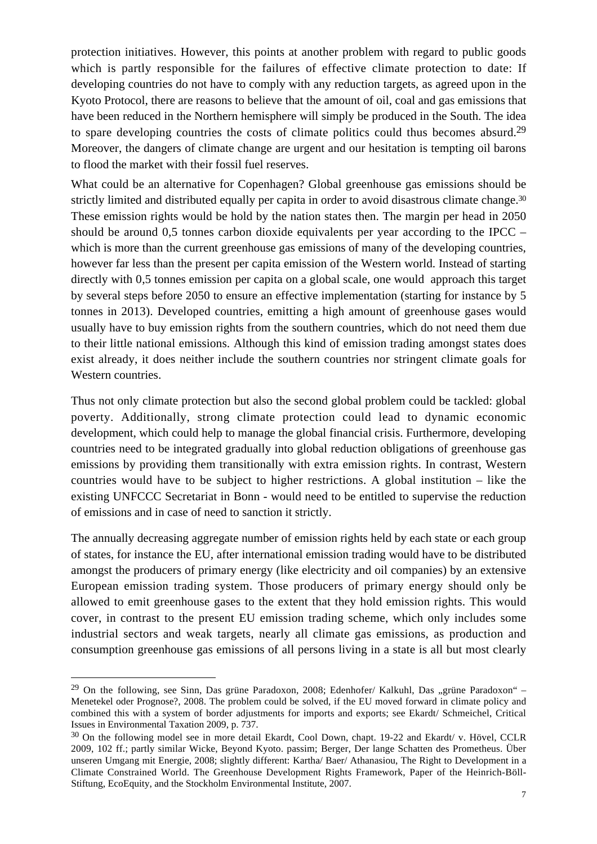protection initiatives. However, this points at another problem with regard to public goods which is partly responsible for the failures of effective climate protection to date: If developing countries do not have to comply with any reduction targets, as agreed upon in the Kyoto Protocol, there are reasons to believe that the amount of oil, coal and gas emissions that have been reduced in the Northern hemisphere will simply be produced in the South. The idea to spare developing countries the costs of climate politics could thus becomes absurd.29 Moreover, the dangers of climate change are urgent and our hesitation is tempting oil barons to flood the market with their fossil fuel reserves.

What could be an alternative for Copenhagen? Global greenhouse gas emissions should be strictly limited and distributed equally per capita in order to avoid disastrous climate change.<sup>30</sup> These emission rights would be hold by the nation states then. The margin per head in 2050 should be around 0,5 tonnes carbon dioxide equivalents per year according to the IPCC – which is more than the current greenhouse gas emissions of many of the developing countries, however far less than the present per capita emission of the Western world. Instead of starting directly with 0,5 tonnes emission per capita on a global scale, one would approach this target by several steps before 2050 to ensure an effective implementation (starting for instance by 5 tonnes in 2013). Developed countries, emitting a high amount of greenhouse gases would usually have to buy emission rights from the southern countries, which do not need them due to their little national emissions. Although this kind of emission trading amongst states does exist already, it does neither include the southern countries nor stringent climate goals for Western countries.

Thus not only climate protection but also the second global problem could be tackled: global poverty. Additionally, strong climate protection could lead to dynamic economic development, which could help to manage the global financial crisis. Furthermore, developing countries need to be integrated gradually into global reduction obligations of greenhouse gas emissions by providing them transitionally with extra emission rights. In contrast, Western countries would have to be subject to higher restrictions. A global institution – like the existing UNFCCC Secretariat in Bonn - would need to be entitled to supervise the reduction of emissions and in case of need to sanction it strictly.

The annually decreasing aggregate number of emission rights held by each state or each group of states, for instance the EU, after international emission trading would have to be distributed amongst the producers of primary energy (like electricity and oil companies) by an extensive European emission trading system. Those producers of primary energy should only be allowed to emit greenhouse gases to the extent that they hold emission rights. This would cover, in contrast to the present EU emission trading scheme, which only includes some industrial sectors and weak targets, nearly all climate gas emissions, as production and consumption greenhouse gas emissions of all persons living in a state is all but most clearly

<sup>&</sup>lt;sup>29</sup> On the following, see Sinn, Das grüne Paradoxon, 2008; Edenhofer/ Kalkuhl, Das "grüne Paradoxon" – Menetekel oder Prognose?, 2008. The problem could be solved, if the EU moved forward in climate policy and combined this with a system of border adjustments for imports and exports; see Ekardt/ Schmeichel, Critical Issues in Environmental Taxation 2009, p. 737.

<sup>30</sup> On the following model see in more detail Ekardt, Cool Down, chapt. 19-22 and Ekardt/ v. Hövel, CCLR 2009, 102 ff.; partly similar Wicke, Beyond Kyoto. passim; Berger, Der lange Schatten des Prometheus. Über unseren Umgang mit Energie, 2008; slightly different: Kartha/ Baer/ Athanasiou, The Right to Development in a Climate Constrained World. The Greenhouse Development Rights Framework, Paper of the Heinrich-Böll-Stiftung, EcoEquity, and the Stockholm Environmental Institute, 2007.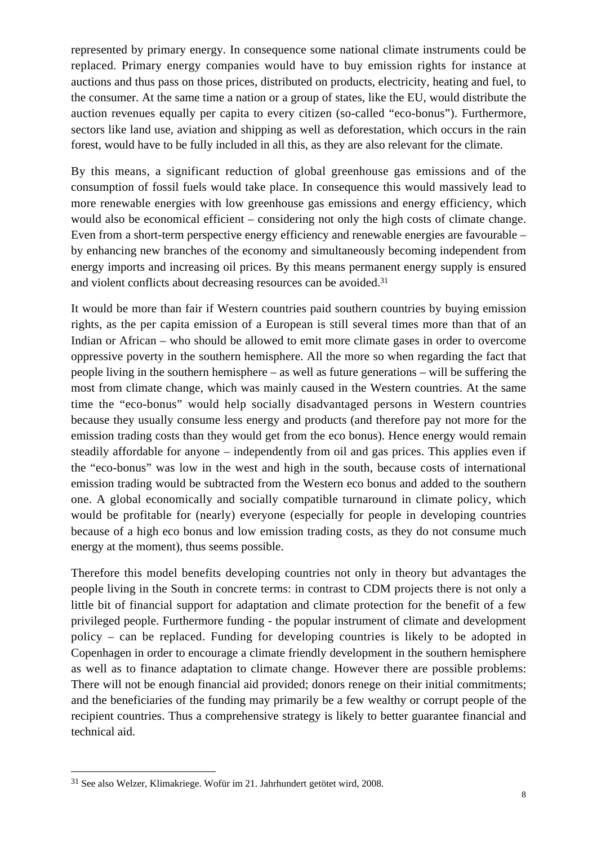represented by primary energy. In consequence some national climate instruments could be replaced. Primary energy companies would have to buy emission rights for instance at auctions and thus pass on those prices, distributed on products, electricity, heating and fuel, to the consumer. At the same time a nation or a group of states, like the EU, would distribute the auction revenues equally per capita to every citizen (so-called "eco-bonus"). Furthermore, sectors like land use, aviation and shipping as well as deforestation, which occurs in the rain forest, would have to be fully included in all this, as they are also relevant for the climate.

By this means, a significant reduction of global greenhouse gas emissions and of the consumption of fossil fuels would take place. In consequence this would massively lead to more renewable energies with low greenhouse gas emissions and energy efficiency, which would also be economical efficient – considering not only the high costs of climate change. Even from a short-term perspective energy efficiency and renewable energies are favourable – by enhancing new branches of the economy and simultaneously becoming independent from energy imports and increasing oil prices. By this means permanent energy supply is ensured and violent conflicts about decreasing resources can be avoided.31

It would be more than fair if Western countries paid southern countries by buying emission rights, as the per capita emission of a European is still several times more than that of an Indian or African – who should be allowed to emit more climate gases in order to overcome oppressive poverty in the southern hemisphere. All the more so when regarding the fact that people living in the southern hemisphere – as well as future generations – will be suffering the most from climate change, which was mainly caused in the Western countries. At the same time the "eco-bonus" would help socially disadvantaged persons in Western countries because they usually consume less energy and products (and therefore pay not more for the emission trading costs than they would get from the eco bonus). Hence energy would remain steadily affordable for anyone – independently from oil and gas prices. This applies even if the "eco-bonus" was low in the west and high in the south, because costs of international emission trading would be subtracted from the Western eco bonus and added to the southern one. A global economically and socially compatible turnaround in climate policy, which would be profitable for (nearly) everyone (especially for people in developing countries because of a high eco bonus and low emission trading costs, as they do not consume much energy at the moment), thus seems possible.

Therefore this model benefits developing countries not only in theory but advantages the people living in the South in concrete terms: in contrast to CDM projects there is not only a little bit of financial support for adaptation and climate protection for the benefit of a few privileged people. Furthermore funding - the popular instrument of climate and development policy – can be replaced. Funding for developing countries is likely to be adopted in Copenhagen in order to encourage a climate friendly development in the southern hemisphere as well as to finance adaptation to climate change. However there are possible problems: There will not be enough financial aid provided; donors renege on their initial commitments; and the beneficiaries of the funding may primarily be a few wealthy or corrupt people of the recipient countries. Thus a comprehensive strategy is likely to better guarantee financial and technical aid.

<sup>31</sup> See also Welzer, Klimakriege. Wofür im 21. Jahrhundert getötet wird, 2008.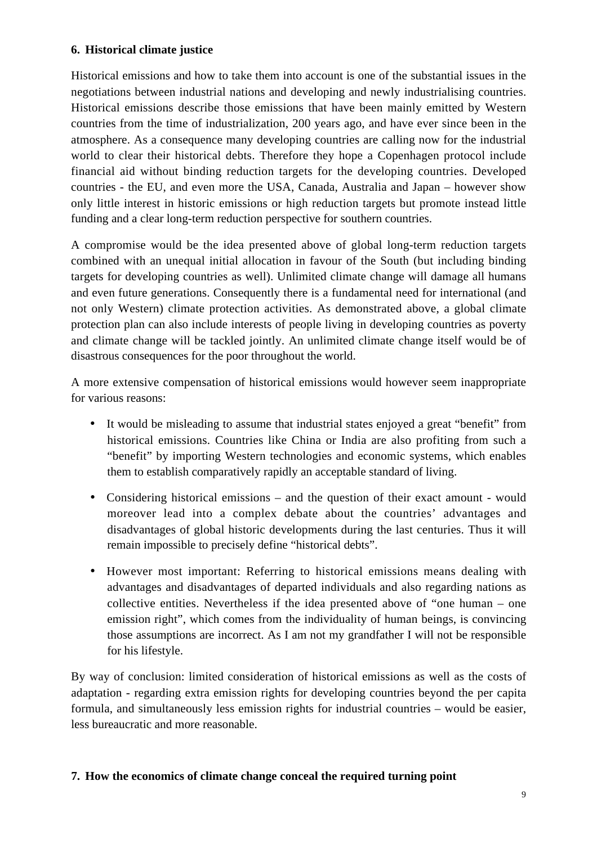# **6. Historical climate justice**

Historical emissions and how to take them into account is one of the substantial issues in the negotiations between industrial nations and developing and newly industrialising countries. Historical emissions describe those emissions that have been mainly emitted by Western countries from the time of industrialization, 200 years ago, and have ever since been in the atmosphere. As a consequence many developing countries are calling now for the industrial world to clear their historical debts. Therefore they hope a Copenhagen protocol include financial aid without binding reduction targets for the developing countries. Developed countries - the EU, and even more the USA, Canada, Australia and Japan – however show only little interest in historic emissions or high reduction targets but promote instead little funding and a clear long-term reduction perspective for southern countries.

A compromise would be the idea presented above of global long-term reduction targets combined with an unequal initial allocation in favour of the South (but including binding targets for developing countries as well). Unlimited climate change will damage all humans and even future generations. Consequently there is a fundamental need for international (and not only Western) climate protection activities. As demonstrated above, a global climate protection plan can also include interests of people living in developing countries as poverty and climate change will be tackled jointly. An unlimited climate change itself would be of disastrous consequences for the poor throughout the world.

A more extensive compensation of historical emissions would however seem inappropriate for various reasons:

- It would be misleading to assume that industrial states enjoyed a great "benefit" from historical emissions. Countries like China or India are also profiting from such a "benefit" by importing Western technologies and economic systems, which enables them to establish comparatively rapidly an acceptable standard of living.
- Considering historical emissions and the question of their exact amount would moreover lead into a complex debate about the countries' advantages and disadvantages of global historic developments during the last centuries. Thus it will remain impossible to precisely define "historical debts".
- However most important: Referring to historical emissions means dealing with advantages and disadvantages of departed individuals and also regarding nations as collective entities. Nevertheless if the idea presented above of "one human – one emission right", which comes from the individuality of human beings, is convincing those assumptions are incorrect. As I am not my grandfather I will not be responsible for his lifestyle.

By way of conclusion: limited consideration of historical emissions as well as the costs of adaptation - regarding extra emission rights for developing countries beyond the per capita formula, and simultaneously less emission rights for industrial countries – would be easier, less bureaucratic and more reasonable.

## **7. How the economics of climate change conceal the required turning point**